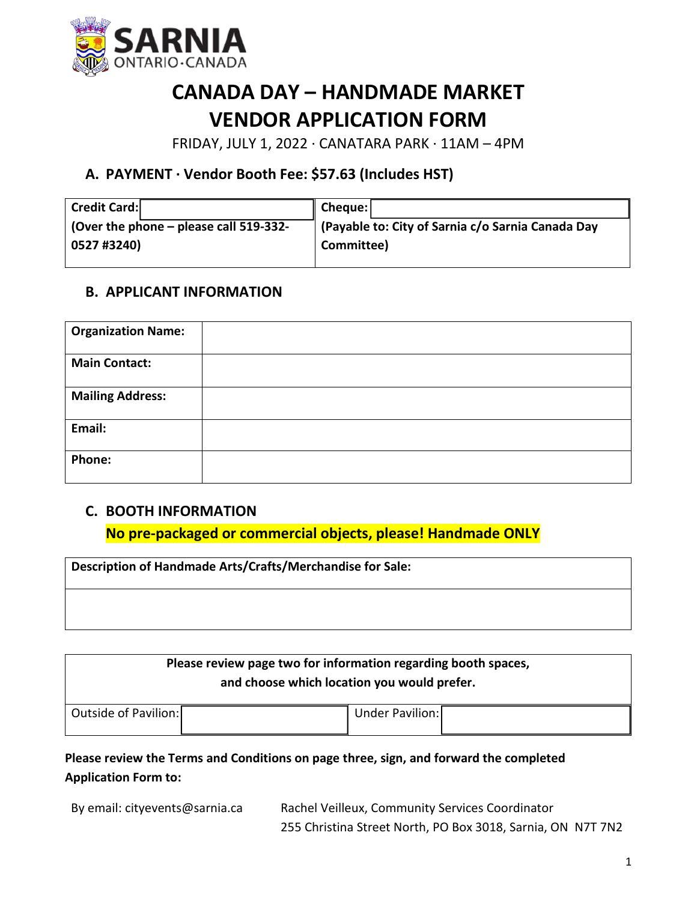

# **CANADA DAY – HANDMADE MARKET VENDOR APPLICATION FORM**

FRIDAY, JULY 1, 2022 ∙ CANATARA PARK ∙ 11AM – 4PM

## **A. PAYMENT ∙ Vendor Booth Fee: \$57.63 (Includes HST)**

| <b>Credit Card:</b>                      | Cheque:                                           |
|------------------------------------------|---------------------------------------------------|
| (Over the phone $-$ please call 519-332- | (Payable to: City of Sarnia c/o Sarnia Canada Day |
| 0527 #3240)                              | Committee)                                        |
|                                          |                                                   |

## **B. APPLICANT INFORMATION**

| <b>Organization Name:</b> |  |
|---------------------------|--|
| <b>Main Contact:</b>      |  |
| <b>Mailing Address:</b>   |  |
| Email:                    |  |
| Phone:                    |  |

## **C. BOOTH INFORMATION**

**No pre-packaged or commercial objects, please! Handmade ONLY**

| Description of Handmade Arts/Crafts/Merchandise for Sale: |  |  |
|-----------------------------------------------------------|--|--|
|                                                           |  |  |

| Please review page two for information regarding booth spaces,<br>and choose which location you would prefer. |                 |  |  |
|---------------------------------------------------------------------------------------------------------------|-----------------|--|--|
| Outside of Pavilion:                                                                                          | Under Pavilion: |  |  |

**Please review the Terms and Conditions on page three, sign, and forward the completed Application Form to:**

By email: cityevents@sarnia.ca Rachel Veilleux, Community Services Coordinator 255 Christina Street North, PO Box 3018, Sarnia, ON N7T 7N2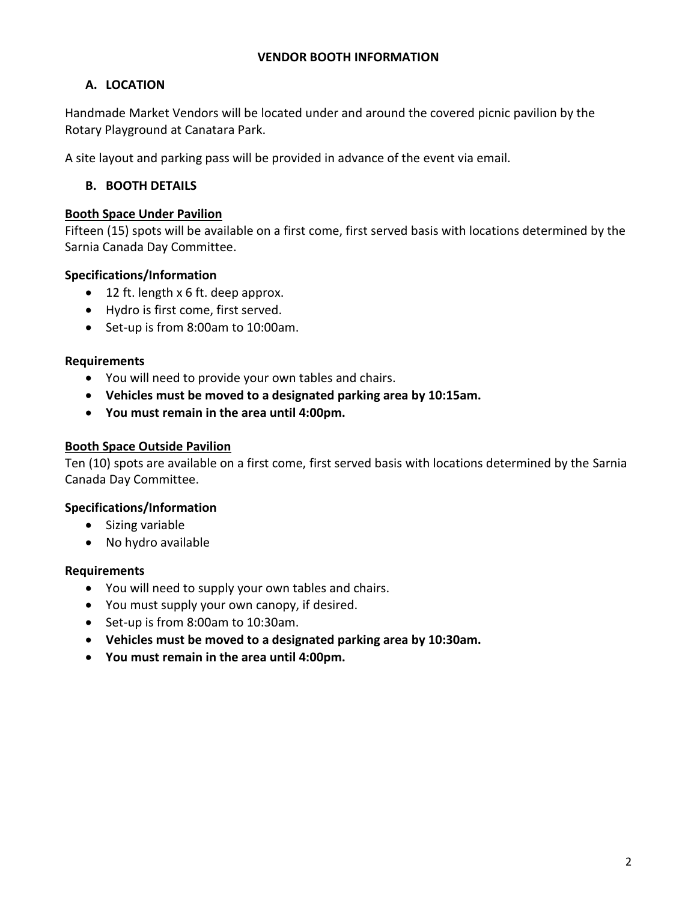#### **VENDOR BOOTH INFORMATION**

## **A. LOCATION**

Handmade Market Vendors will be located under and around the covered picnic pavilion by the Rotary Playground at Canatara Park.

A site layout and parking pass will be provided in advance of the event via email.

### **B. BOOTH DETAILS**

#### **Booth Space Under Pavilion**

Fifteen (15) spots will be available on a first come, first served basis with locations determined by the Sarnia Canada Day Committee.

#### **Specifications/Information**

- 12 ft. length x 6 ft. deep approx.
- Hydro is first come, first served.
- Set-up is from 8:00am to 10:00am.

#### **Requirements**

- You will need to provide your own tables and chairs.
- **Vehicles must be moved to a designated parking area by 10:15am.**
- **You must remain in the area until 4:00pm.**

#### **Booth Space Outside Pavilion**

Ten (10) spots are available on a first come, first served basis with locations determined by the Sarnia Canada Day Committee.

#### **Specifications/Information**

- Sizing variable
- No hydro available

#### **Requirements**

- You will need to supply your own tables and chairs.
- You must supply your own canopy, if desired.
- Set-up is from 8:00am to 10:30am.
- **Vehicles must be moved to a designated parking area by 10:30am.**
- **You must remain in the area until 4:00pm.**